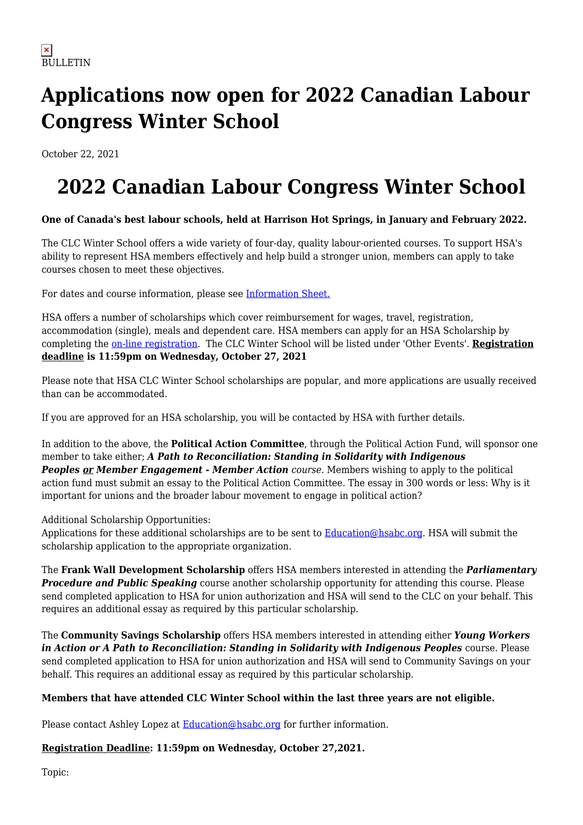# **Applications now open for 2022 Canadian Labour Congress Winter School**

October 22, 2021

# **2022 Canadian Labour Congress Winter School**

### **One of Canada's best labour schools, held at Harrison Hot Springs, in January and February 2022.**

The CLC Winter School offers a wide variety of four-day, quality labour-oriented courses. To support HSA's ability to represent HSA members effectively and help build a stronger union, members can apply to take courses chosen to meet these objectives.

For dates and course information, please see [Information Sheet.](https://www.hsabc.org/sites/default/files/uploads/Info%20Sheet%202022%20-%20final_0.pdf)

HSA offers a number of scholarships which cover reimbursement for wages, travel, registration, accommodation (single), meals and dependent care. HSA members can apply for an HSA Scholarship by completing the [on-line registration.](http://events.hsabc.org/) The CLC Winter School will be listed under 'Other Events'. **Registration deadline is 11:59pm on Wednesday, October 27, 2021**

Please note that HSA CLC Winter School scholarships are popular, and more applications are usually received than can be accommodated.

If you are approved for an HSA scholarship, you will be contacted by HSA with further details.

In addition to the above, the **Political Action Committee**, through the Political Action Fund, will sponsor one member to take either; *A Path to Reconciliation: Standing in Solidarity with Indigenous* **Peoples or Member Engagement - Member Action** course. Members wishing to apply to the political action fund must submit an essay to the Political Action Committee. The essay in 300 words or less: Why is it important for unions and the broader labour movement to engage in political action?

Additional Scholarship Opportunities:

Applications for these additional scholarships are to be sent to [Education@hsabc.org.](mailto:Education@hsabc.org) HSA will submit the scholarship application to the appropriate organization.

The **Frank Wall Development Scholarship** offers HSA members interested in attending the *Parliamentary Procedure and Public Speaking* course another scholarship opportunity for attending this course. Please send completed application to HSA for union authorization and HSA will send to the CLC on your behalf. This requires an additional essay as required by this particular scholarship.

The **Community Savings Scholarship** offers HSA members interested in attending either *Young Workers in Action or A Path to Reconciliation: Standing in Solidarity with Indigenous Peoples* course. Please send completed application to HSA for union authorization and HSA will send to Community Savings on your behalf. This requires an additional essay as required by this particular scholarship.

### **Members that have attended CLC Winter School within the last three years are not eligible.**

Please contact Ashley Lopez at [Education@hsabc.org](mailto:Education@hsabc.org) for further information.

### **Registration Deadline: 11:59pm on Wednesday, October 27,2021.**

Topic: